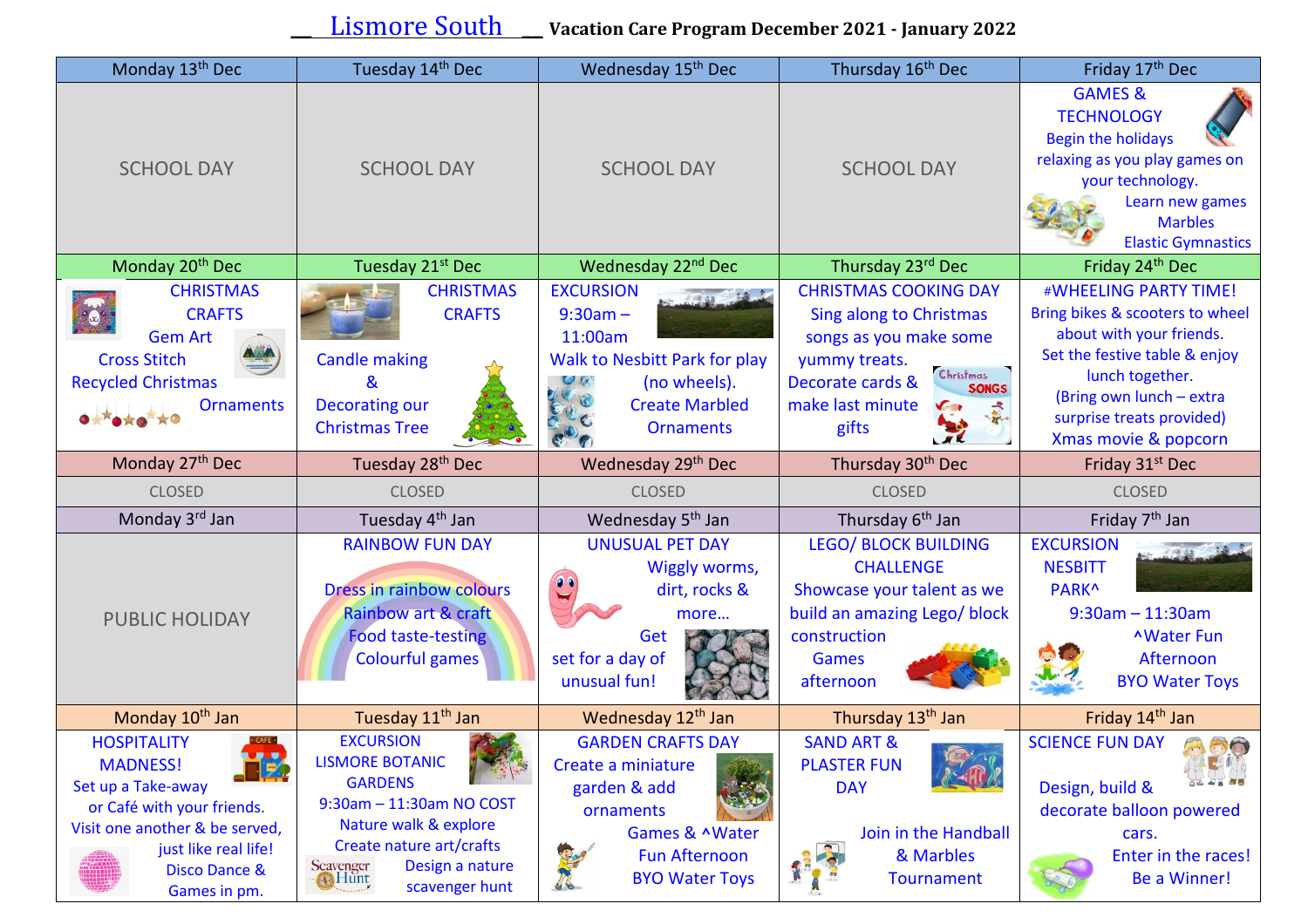**\_\_** Lismore South **\_\_ Vacation Care Program December <sup>2021</sup> - January <sup>2022</sup>**

| Monday 13 <sup>th</sup> Dec                                                                                                                                                     | Tuesday 14 <sup>th</sup> Dec                                                                                                                | Wednesday 15 <sup>th</sup> Dec                                                                                                                 | Thursday 16 <sup>th</sup> Dec                                                                                                                                                           | Friday 17 <sup>th</sup> Dec                                                                                                                                                                                               |
|---------------------------------------------------------------------------------------------------------------------------------------------------------------------------------|---------------------------------------------------------------------------------------------------------------------------------------------|------------------------------------------------------------------------------------------------------------------------------------------------|-----------------------------------------------------------------------------------------------------------------------------------------------------------------------------------------|---------------------------------------------------------------------------------------------------------------------------------------------------------------------------------------------------------------------------|
| <b>SCHOOL DAY</b>                                                                                                                                                               | <b>SCHOOL DAY</b>                                                                                                                           | <b>SCHOOL DAY</b>                                                                                                                              | <b>SCHOOL DAY</b>                                                                                                                                                                       | <b>GAMES &amp;</b><br><b>TECHNOLOGY</b><br><b>Begin the holidays</b><br>relaxing as you play games on<br>your technology.<br>Learn new games<br><b>Marbles</b><br><b>Elastic Gymnastics</b>                               |
| Monday 20 <sup>th</sup> Dec                                                                                                                                                     | Tuesday 21 <sup>st</sup> Dec                                                                                                                | Wednesday 22 <sup>nd</sup> Dec                                                                                                                 | Thursday 23rd Dec                                                                                                                                                                       | Friday 24 <sup>th</sup> Dec                                                                                                                                                                                               |
| <b>CHRISTMAS</b><br><b>CRAFTS</b><br><b>Gem Art</b><br><b>Cross Stitch</b><br><b>Recycled Christmas</b><br><b>Ornaments</b>                                                     | <b>CHRISTMAS</b><br><b>CRAFTS</b><br><b>Candle making</b><br>&<br><b>Decorating our</b><br><b>Christmas Tree</b>                            | <b>EXCURSION</b><br>$9:30am -$<br>11:00am<br><b>Walk to Nesbitt Park for play</b><br>(no wheels).<br><b>Create Marbled</b><br><b>Ornaments</b> | <b>CHRISTMAS COOKING DAY</b><br><b>Sing along to Christmas</b><br>songs as you make some<br>yummy treats.<br>Christmas<br>Decorate cards &<br><b>SONGS</b><br>make last minute<br>gifts | #WHEELING PARTY TIME!<br>Bring bikes & scooters to wheel<br>about with your friends.<br>Set the festive table & enjoy<br>lunch together.<br>(Bring own lunch - extra<br>surprise treats provided)<br>Xmas movie & popcorn |
| Monday 27 <sup>th</sup> Dec                                                                                                                                                     | Tuesday 28 <sup>th</sup> Dec                                                                                                                | Wednesday 29th Dec                                                                                                                             | Thursday 30 <sup>th</sup> Dec                                                                                                                                                           | Friday 31 <sup>st</sup> Dec                                                                                                                                                                                               |
| <b>CLOSED</b>                                                                                                                                                                   | <b>CLOSED</b>                                                                                                                               | <b>CLOSED</b>                                                                                                                                  | <b>CLOSED</b>                                                                                                                                                                           | <b>CLOSED</b>                                                                                                                                                                                                             |
| Monday 3rd Jan                                                                                                                                                                  | Tuesday 4 <sup>th</sup> Jan                                                                                                                 | Wednesday 5 <sup>th</sup> Jan                                                                                                                  | Thursday 6 <sup>th</sup> Jan                                                                                                                                                            | Friday 7 <sup>th</sup> Jan                                                                                                                                                                                                |
| <b>PUBLIC HOLIDAY</b>                                                                                                                                                           | <b>RAINBOW FUN DAY</b><br>Dress in rainbow colours<br><b>Rainbow art &amp; craft</b><br><b>Food taste-testing</b><br><b>Colourful games</b> | <b>UNUSUAL PET DAY</b><br>Wiggly worms,<br>$\bullet$<br>dirt, rocks &<br>more<br>Get<br>set for a day of<br>unusual fun!                       | <b>LEGO/ BLOCK BUILDING</b><br><b>CHALLENGE</b><br>Showcase your talent as we<br>build an amazing Lego/ block<br>construction<br><b>Games</b><br>afternoon                              | <b>EXCURSION</b><br><b>NESBITT</b><br>PARK <sup>^</sup><br>$9:30$ am $-11:30$ am<br><b>AWater Fun</b><br>Afternoon<br><b>BYO Water Toys</b>                                                                               |
| Monday 10 <sup>th</sup> Jan                                                                                                                                                     | Tuesday 11 <sup>th</sup> Jan                                                                                                                | Wednesday 12 <sup>th</sup> Jan                                                                                                                 | Thursday 13 <sup>th</sup> Jan                                                                                                                                                           | Friday 14 <sup>th</sup> Jan                                                                                                                                                                                               |
| <b>HOSPITALITY</b><br>$\cdot$ CAFE $\cdot$<br><b>MADNESS!</b><br>$\vert \mathbf{F} \vert$<br>Set up a Take-away<br>or Café with your friends.<br>Visit one another & be served, | <b>EXCURSION</b><br><b>LISMORE BOTANIC</b><br><b>GARDENS</b><br>9:30am - 11:30am NO COST<br>Nature walk & explore                           | <b>GARDEN CRAFTS DAY</b><br>Create a miniature<br>garden & add<br>ornaments                                                                    | <b>SAND ART &amp;</b><br><b>PLASTER FUN</b><br><b>DAY</b>                                                                                                                               | <b>SCIENCE FUN DAY</b><br>AR<br>Design, build &<br>decorate balloon powered                                                                                                                                               |
| just like real life!<br><b>Disco Dance &amp;</b>                                                                                                                                | Create nature art/crafts<br>Design a nature<br>Scavenger<br>• Hunt                                                                          | Games & ^Water<br><b>Fun Afternoon</b><br><b>BYO Water Toys</b>                                                                                | Join in the Handball<br>& Marbles<br><b>Tournament</b>                                                                                                                                  | cars.<br>Enter in the races!<br>Be a Winner!                                                                                                                                                                              |